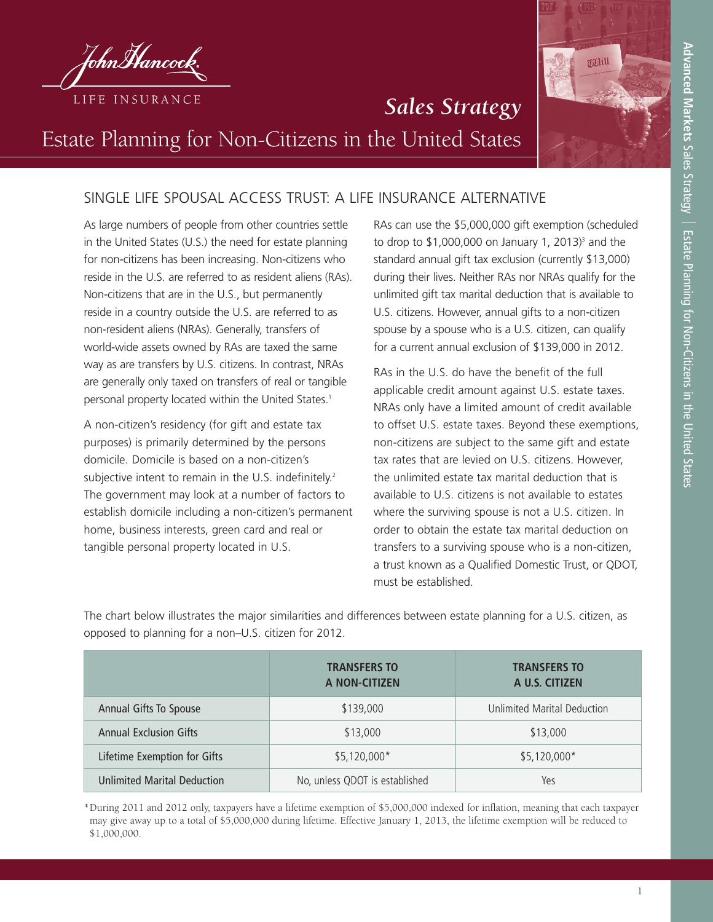

## *Sales Strategy* Estate Planning for Non-Citizens in the United States

## SINGLE LIFE SPOUSAL ACCESS TRUST: A LIFE INSURANCE ALTERNATIVE

As large numbers of people from other countries settle in the United States (U.S.) the need for estate planning for non-citizens has been increasing. Non-citizens who reside in the U.S. are referred to as resident aliens (RAs). Non-citizens that are in the U.S., but permanently reside in a country outside the U.S. are referred to as non-resident aliens (NRAs). Generally, transfers of world-wide assets owned by RAs are taxed the same way as are transfers by U.S. citizens. In contrast, NRAs are generally only taxed on transfers of real or tangible personal property located within the United States.<sup>1</sup>

A non-citizen's residency (for gift and estate tax purposes) is primarily determined by the persons domicile. Domicile is based on a non-citizen's subjective intent to remain in the U.S. indefinitely.<sup>2</sup> The government may look at a number of factors to establish domicile including a non-citizen's permanent home, business interests, green card and real or tangible personal property located in U.S.

RAs can use the \$5,000,000 gift exemption (scheduled to drop to  $$1,000,000$  on January 1, 2013)<sup>3</sup> and the standard annual gift tax exclusion (currently \$13,000) during their lives. Neither RAs nor NRAs qualify for the unlimited gift tax marital deduction that is available to U.S. citizens. However, annual gifts to a non-citizen spouse by a spouse who is a U.S. citizen, can qualify for a current annual exclusion of \$139,000 in 2012.

RAs in the U.S. do have the benefit of the full applicable credit amount against U.S. estate taxes. NRAs only have a limited amount of credit available to offset U.S. estate taxes. Beyond these exemptions, non-citizens are subject to the same gift and estate tax rates that are levied on U.S. citizens. However, the unlimited estate tax marital deduction that is available to U.S. citizens is not available to estates where the surviving spouse is not a U.S. citizen. In order to obtain the estate tax marital deduction on transfers to a surviving spouse who is a non-citizen, a trust known as a Qualified Domestic Trust, or QDOT, must be established.

The chart below illustrates the major similarities and differences between estate planning for a U.S. citizen, as opposed to planning for a non–U.S. citizen for 2012.

|                                    | <b>TRANSFERS TO</b><br>A NON-CITIZEN | <b>TRANSFERS TO</b><br>A U.S. CITIZEN |
|------------------------------------|--------------------------------------|---------------------------------------|
| Annual Gifts To Spouse             | \$139,000                            | Unlimited Marital Deduction           |
| <b>Annual Exclusion Gifts</b>      | \$13,000                             | \$13,000                              |
| Lifetime Exemption for Gifts       | $$5,120,000*$                        | $$5,120,000*$                         |
| <b>Unlimited Marital Deduction</b> | No, unless QDOT is established       | Yes                                   |

\*During 2011 and 2012 only, taxpayers have a lifetime exemption of \$5,000,000 indexed for inflation, meaning that each taxpayer may give away up to a total of \$5,000,000 during lifetime. Effective January 1, 2013, the lifetime exemption will be reduced to \$1,000,000.

vaill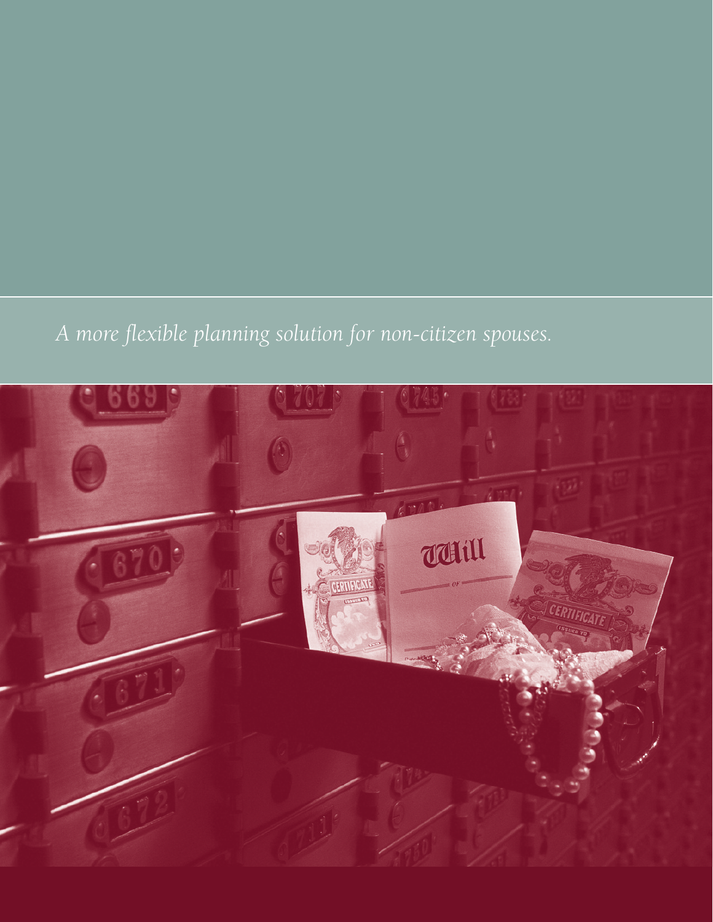# *A more flexible planning solution for non-citizen spouses.*

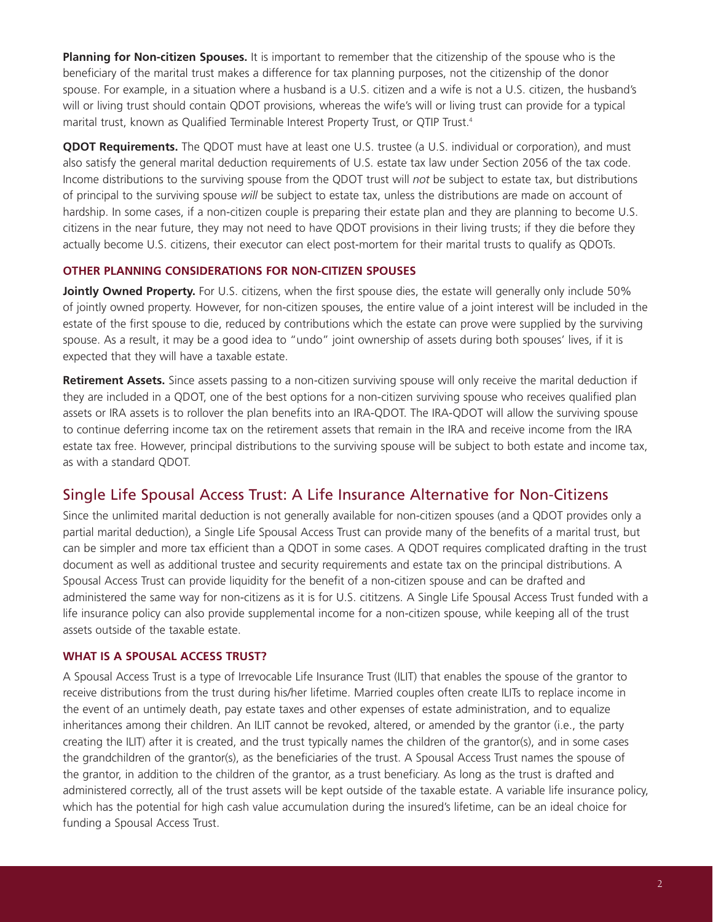**Planning for Non-citizen Spouses.** It is important to remember that the citizenship of the spouse who is the beneficiary of the marital trust makes a difference for tax planning purposes, not the citizenship of the donor spouse. For example, in a situation where a husband is a U.S. citizen and a wife is not a U.S. citizen, the husband's will or living trust should contain QDOT provisions, whereas the wife's will or living trust can provide for a typical marital trust, known as Qualified Terminable Interest Property Trust, or QTIP Trust.4

**QDOT Requirements.** The QDOT must have at least one U.S. trustee (a U.S. individual or corporation), and must also satisfy the general marital deduction requirements of U.S. estate tax law under Section 2056 of the tax code. Income distributions to the surviving spouse from the QDOT trust will *not* be subject to estate tax, but distributions of principal to the surviving spouse *will* be subject to estate tax, unless the distributions are made on account of hardship. In some cases, if a non-citizen couple is preparing their estate plan and they are planning to become U.S. citizens in the near future, they may not need to have QDOT provisions in their living trusts; if they die before they actually become U.S. citizens, their executor can elect post-mortem for their marital trusts to qualify as QDOTs.

#### **OTHER PLANNING CONSIDERATIONS FOR NON-CITIZEN SPOUSES**

**Jointly Owned Property.** For U.S. citizens, when the first spouse dies, the estate will generally only include 50% of jointly owned property. However, for non-citizen spouses, the entire value of a joint interest will be included in the estate of the first spouse to die, reduced by contributions which the estate can prove were supplied by the surviving spouse. As a result, it may be a good idea to "undo" joint ownership of assets during both spouses' lives, if it is expected that they will have a taxable estate.

**Retirement Assets.** Since assets passing to a non-citizen surviving spouse will only receive the marital deduction if they are included in a QDOT, one of the best options for a non-citizen surviving spouse who receives qualified plan assets or IRA assets is to rollover the plan benefits into an IRA-QDOT. The IRA-QDOT will allow the surviving spouse to continue deferring income tax on the retirement assets that remain in the IRA and receive income from the IRA estate tax free. However, principal distributions to the surviving spouse will be subject to both estate and income tax, as with a standard QDOT.

### Single Life Spousal Access Trust: A Life Insurance Alternative for Non-Citizens

Since the unlimited marital deduction is not generally available for non-citizen spouses (and a QDOT provides only a partial marital deduction), a Single Life Spousal Access Trust can provide many of the benefits of a marital trust, but can be simpler and more tax efficient than a QDOT in some cases. A QDOT requires complicated drafting in the trust document as well as additional trustee and security requirements and estate tax on the principal distributions. A Spousal Access Trust can provide liquidity for the benefit of a non-citizen spouse and can be drafted and administered the same way for non-citizens as it is for U.S. cititzens. A Single Life Spousal Access Trust funded with a life insurance policy can also provide supplemental income for a non-citizen spouse, while keeping all of the trust assets outside of the taxable estate.

#### **WHAT IS A SPOUSAL ACCESS TRUST?**

A Spousal Access Trust is a type of Irrevocable Life Insurance Trust (ILIT) that enables the spouse of the grantor to receive distributions from the trust during his/her lifetime. Married couples often create ILITs to replace income in the event of an untimely death, pay estate taxes and other expenses of estate administration, and to equalize inheritances among their children. An ILIT cannot be revoked, altered, or amended by the grantor (i.e., the party creating the ILIT) after it is created, and the trust typically names the children of the grantor(s), and in some cases the grandchildren of the grantor(s), as the beneficiaries of the trust. A Spousal Access Trust names the spouse of the grantor, in addition to the children of the grantor, as a trust beneficiary. As long as the trust is drafted and administered correctly, all of the trust assets will be kept outside of the taxable estate. A variable life insurance policy, which has the potential for high cash value accumulation during the insured's lifetime, can be an ideal choice for funding a Spousal Access Trust.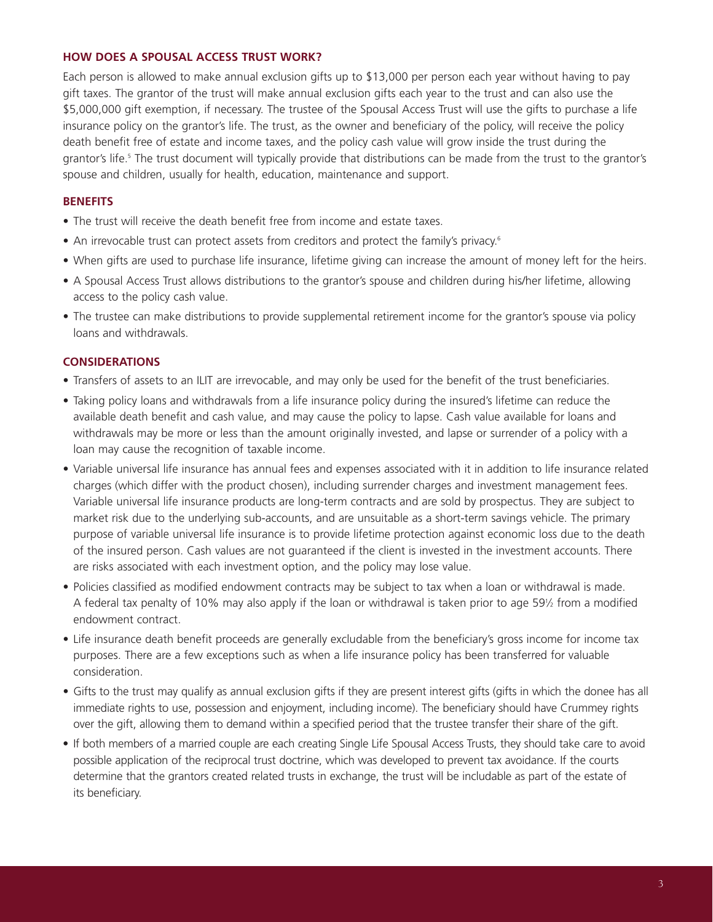#### **HOW DOES A SPOUSAL ACCESS TRUST WORK?**

Each person is allowed to make annual exclusion gifts up to \$13,000 per person each year without having to pay gift taxes. The grantor of the trust will make annual exclusion gifts each year to the trust and can also use the \$5,000,000 gift exemption, if necessary. The trustee of the Spousal Access Trust will use the gifts to purchase a life insurance policy on the grantor's life. The trust, as the owner and beneficiary of the policy, will receive the policy death benefit free of estate and income taxes, and the policy cash value will grow inside the trust during the grantor's life.<sup>5</sup> The trust document will typically provide that distributions can be made from the trust to the grantor's spouse and children, usually for health, education, maintenance and support.

#### **BENEFITS**

- The trust will receive the death benefit free from income and estate taxes.
- An irrevocable trust can protect assets from creditors and protect the family's privacy.<sup>6</sup>
- When gifts are used to purchase life insurance, lifetime giving can increase the amount of money left for the heirs.
- A Spousal Access Trust allows distributions to the grantor's spouse and children during his/her lifetime, allowing access to the policy cash value.
- The trustee can make distributions to provide supplemental retirement income for the grantor's spouse via policy loans and withdrawals.

#### **CONSIDERATIONS**

- Transfers of assets to an ILIT are irrevocable, and may only be used for the benefit of the trust beneficiaries.
- Taking policy loans and withdrawals from a life insurance policy during the insured's lifetime can reduce the available death benefit and cash value, and may cause the policy to lapse. Cash value available for loans and withdrawals may be more or less than the amount originally invested, and lapse or surrender of a policy with a loan may cause the recognition of taxable income.
- Variable universal life insurance has annual fees and expenses associated with it in addition to life insurance related charges (which differ with the product chosen), including surrender charges and investment management fees. Variable universal life insurance products are long-term contracts and are sold by prospectus. They are subject to market risk due to the underlying sub-accounts, and are unsuitable as a short-term savings vehicle. The primary purpose of variable universal life insurance is to provide lifetime protection against economic loss due to the death of the insured person. Cash values are not guaranteed if the client is invested in the investment accounts. There are risks associated with each investment option, and the policy may lose value.
- Policies classified as modified endowment contracts may be subject to tax when a loan or withdrawal is made. A federal tax penalty of 10% may also apply if the loan or withdrawal is taken prior to age 591 ⁄2 from a modified endowment contract.
- Life insurance death benefit proceeds are generally excludable from the beneficiary's gross income for income tax purposes. There are a few exceptions such as when a life insurance policy has been transferred for valuable consideration.
- Gifts to the trust may qualify as annual exclusion gifts if they are present interest gifts (gifts in which the donee has all immediate rights to use, possession and enjoyment, including income). The beneficiary should have Crummey rights over the gift, allowing them to demand within a specified period that the trustee transfer their share of the gift.
- If both members of a married couple are each creating Single Life Spousal Access Trusts, they should take care to avoid possible application of the reciprocal trust doctrine, which was developed to prevent tax avoidance. If the courts determine that the grantors created related trusts in exchange, the trust will be includable as part of the estate of its beneficiary.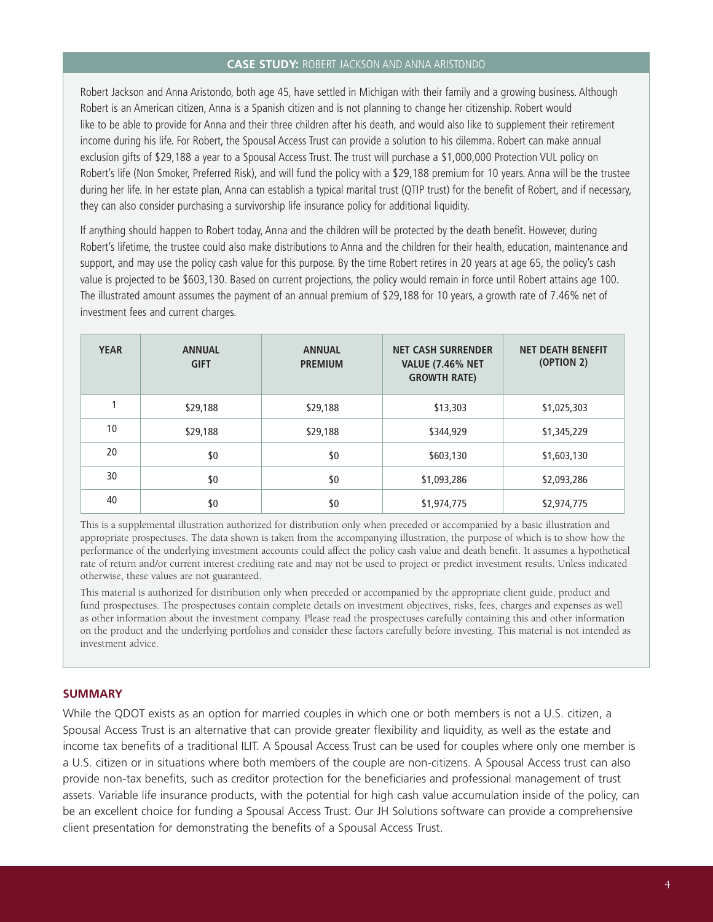#### **CASE STUDY:** ROBERT JACKSON AND ANNA ARISTONDO

Robert Jackson and Anna Aristondo, both age 45, have settled in Michigan with their family and a growing business. Although Robert is an American citizen, Anna is a Spanish citizen and is not planning to change her citizenship. Robert would like to be able to provide for Anna and their three children after his death, and would also like to supplement their retirement income during his life. For Robert, the Spousal Access Trust can provide a solution to his dilemma. Robert can make annual exclusion gifts of \$29,188 a year to a Spousal Access Trust. The trust will purchase a \$1,000,000 Protection VUL policy on Robert's life (Non Smoker, Preferred Risk), and will fund the policy with a \$29,188 premium for 10 years. Anna will be the trustee during her life. In her estate plan, Anna can establish a typical marital trust (QTIP trust) for the benefit of Robert, and if necessary, they can also consider purchasing a survivorship life insurance policy for additional liquidity.

If anything should happen to Robert today, Anna and the children will be protected by the death benefit. However, during Robert's lifetime, the trustee could also make distributions to Anna and the children for their health, education, maintenance and support, and may use the policy cash value for this purpose. By the time Robert retires in 20 years at age 65, the policy's cash value is projected to be \$603,130. Based on current projections, the policy would remain in force until Robert attains age 100. The illustrated amount assumes the payment of an annual premium of \$29,188 for 10 years, a growth rate of 7.46% net of investment fees and current charges.

| <b>YEAR</b> | <b>ANNUAL</b><br><b>GIFT</b> | <b>ANNUAL</b><br><b>PREMIUM</b> | <b>NET CASH SURRENDER</b><br><b>VALUE (7.46% NET</b><br><b>GROWTH RATE)</b> | <b>NET DEATH BENEFIT</b><br>(OPTION 2) |
|-------------|------------------------------|---------------------------------|-----------------------------------------------------------------------------|----------------------------------------|
|             | \$29,188                     | \$29,188                        | \$13,303                                                                    | \$1,025,303                            |
| 10          | \$29,188                     | \$29,188                        | \$344,929                                                                   | \$1,345,229                            |
| 20          | \$0                          | \$0                             | \$603,130                                                                   | \$1,603,130                            |
| 30          | \$0                          | \$0                             | \$1,093,286                                                                 | \$2,093,286                            |
| 40          | \$0                          | \$0                             | \$1,974,775                                                                 | \$2,974,775                            |

This is a supplemental illustration authorized for distribution only when preceded or accompanied by a basic illustration and appropriate prospectuses. The data shown is taken from the accompanying illustration, the purpose of which is to show how the performance of the underlying investment accounts could affect the policy cash value and death benefit. It assumes a hypothetical rate of return and/or current interest crediting rate and may not be used to project or predict investment results. Unless indicated otherwise, these values are not guaranteed.

This material is authorized for distribution only when preceded or accompanied by the appropriate client guide, product and fund prospectuses. The prospectuses contain complete details on investment objectives, risks, fees, charges and expenses as well as other information about the investment company. Please read the prospectuses carefully containing this and other information on the product and the underlying portfolios and consider these factors carefully before investing. This material is not intended as investment advice.

#### **SUMMARY**

While the QDOT exists as an option for married couples in which one or both members is not a U.S. citizen, a Spousal Access Trust is an alternative that can provide greater flexibility and liquidity, as well as the estate and income tax benefits of a traditional ILIT. A Spousal Access Trust can be used for couples where only one member is a U.S. citizen or in situations where both members of the couple are non-citizens. A Spousal Access trust can also provide non-tax benefits, such as creditor protection for the beneficiaries and professional management of trust assets. Variable life insurance products, with the potential for high cash value accumulation inside of the policy, can be an excellent choice for funding a Spousal Access Trust. Our JH Solutions software can provide a comprehensive client presentation for demonstrating the benefits of a Spousal Access Trust.